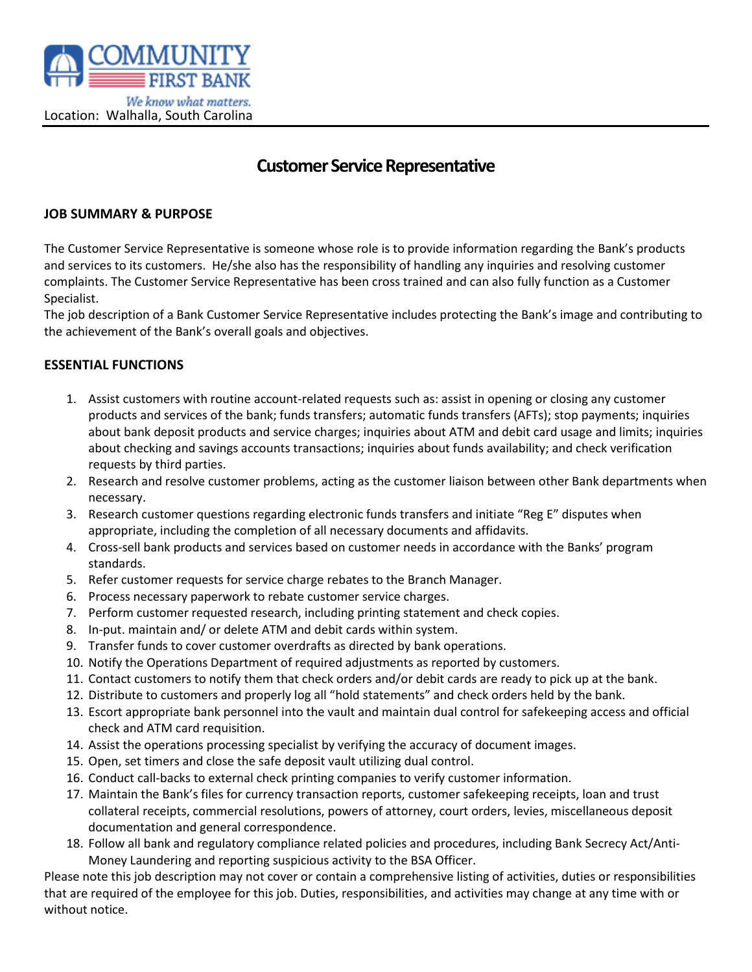

# **Customer Service Representative**

#### **JOB SUMMARY & PURPOSE**

The Customer Service Representative is someone whose role is to provide information regarding the Bank's products and services to its customers. He/she also has the responsibility of handling any inquiries and resolving customer complaints. The Customer Service Representative has been cross trained and can also fully function as a Customer Specialist.

The job description of a Bank Customer Service Representative includes protecting the Bank's image and contributing to the achievement of the Bank's overall goals and objectives.

#### **ESSENTIAL FUNCTIONS**

- 1. Assist customers with routine account-related requests such as: assist in opening or closing any customer products and services of the bank; funds transfers; automatic funds transfers (AFTs); stop payments; inquiries about bank deposit products and service charges; inquiries about ATM and debit card usage and limits; inquiries about checking and savings accounts transactions; inquiries about funds availability; and check verification requests by third parties.
- 2. Research and resolve customer problems, acting as the customer liaison between other Bank departments when necessary.
- 3. Research customer questions regarding electronic funds transfers and initiate "Reg E" disputes when appropriate, including the completion of all necessary documents and affidavits.
- 4. Cross-sell bank products and services based on customer needs in accordance with the Banks' program standards.
- 5. Refer customer requests for service charge rebates to the Branch Manager.
- 6. Process necessary paperwork to rebate customer service charges.
- 7. Perform customer requested research, including printing statement and check copies.
- 8. In-put. maintain and/ or delete ATM and debit cards within system.
- 9. Transfer funds to cover customer overdrafts as directed by bank operations.
- 10. Notify the Operations Department of required adjustments as reported by customers.
- 11. Contact customers to notify them that check orders and/or debit cards are ready to pick up at the bank.
- 12. Distribute to customers and properly log all "hold statements" and check orders held by the bank.
- 13. Escort appropriate bank personnel into the vault and maintain dual control for safekeeping access and official check and ATM card requisition.
- 14. Assist the operations processing specialist by verifying the accuracy of document images.
- 15. Open, set timers and close the safe deposit vault utilizing dual control.
- 16. Conduct call-backs to external check printing companies to verify customer information.
- 17. Maintain the Bank's files for currency transaction reports, customer safekeeping receipts, loan and trust collateral receipts, commercial resolutions, powers of attorney, court orders, levies, miscellaneous deposit documentation and general correspondence.
- 18. Follow all bank and regulatory compliance related policies and procedures, including Bank Secrecy Act/Anti-Money Laundering and reporting suspicious activity to the BSA Officer.

Please note this job description may not cover or contain a comprehensive listing of activities, duties or responsibilities that are required of the employee for this job. Duties, responsibilities, and activities may change at any time with or without notice.